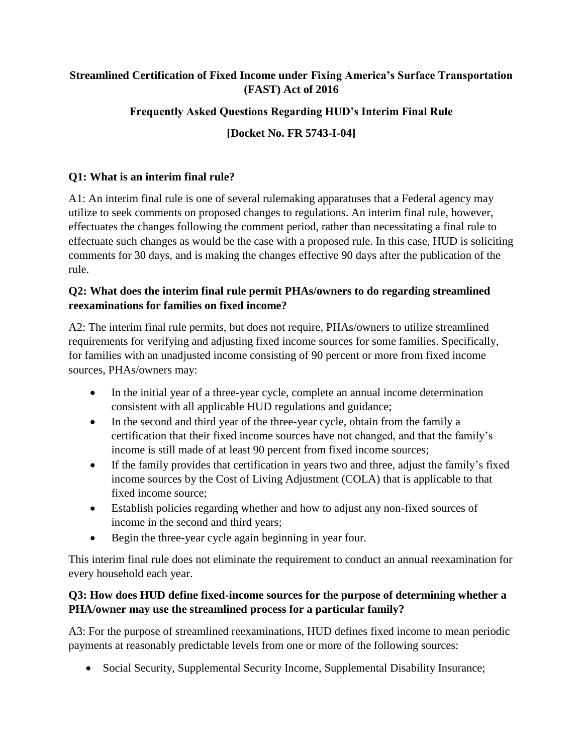### **Streamlined Certification of Fixed Income under Fixing America's Surface Transportation (FAST) Act of 2016**

# **Frequently Asked Questions Regarding HUD's Interim Final Rule**

# **[Docket No. FR 5743-I-04]**

### **Q1: What is an interim final rule?**

A1: An interim final rule is one of several rulemaking apparatuses that a Federal agency may utilize to seek comments on proposed changes to regulations. An interim final rule, however, effectuates the changes following the comment period, rather than necessitating a final rule to effectuate such changes as would be the case with a proposed rule. In this case, HUD is soliciting comments for 30 days, and is making the changes effective 90 days after the publication of the rule.

#### **Q2: What does the interim final rule permit PHAs/owners to do regarding streamlined reexaminations for families on fixed income?**

A2: The interim final rule permits, but does not require, PHAs/owners to utilize streamlined requirements for verifying and adjusting fixed income sources for some families. Specifically, for families with an unadjusted income consisting of 90 percent or more from fixed income sources, PHAs/owners may:

- In the initial year of a three-year cycle, complete an annual income determination consistent with all applicable HUD regulations and guidance;
- In the second and third year of the three-year cycle, obtain from the family a certification that their fixed income sources have not changed, and that the family's income is still made of at least 90 percent from fixed income sources;
- If the family provides that certification in years two and three, adjust the family's fixed income sources by the Cost of Living Adjustment (COLA) that is applicable to that fixed income source;
- Establish policies regarding whether and how to adjust any non-fixed sources of income in the second and third years;
- Begin the three-year cycle again beginning in year four.

This interim final rule does not eliminate the requirement to conduct an annual reexamination for every household each year.

### **Q3: How does HUD define fixed-income sources for the purpose of determining whether a PHA/owner may use the streamlined process for a particular family?**

A3: For the purpose of streamlined reexaminations, HUD defines fixed income to mean periodic payments at reasonably predictable levels from one or more of the following sources:

• Social Security, Supplemental Security Income, Supplemental Disability Insurance;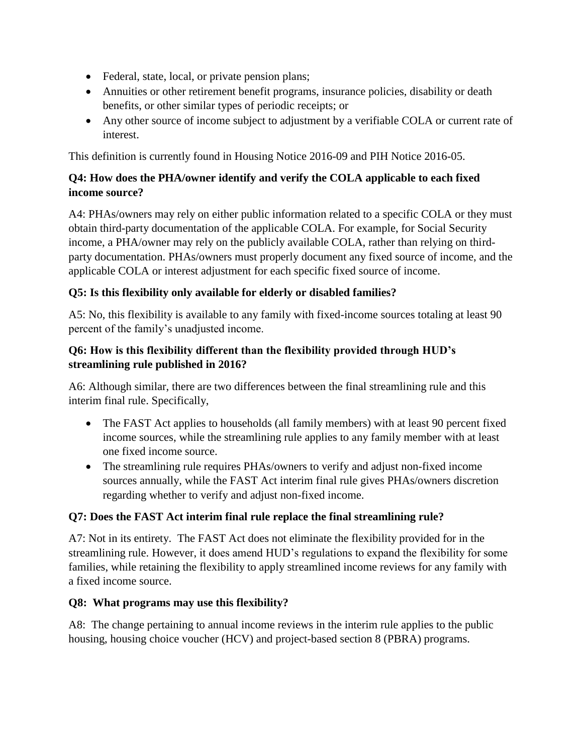- Federal, state, local, or private pension plans;
- Annuities or other retirement benefit programs, insurance policies, disability or death benefits, or other similar types of periodic receipts; or
- Any other source of income subject to adjustment by a verifiable COLA or current rate of interest.

This definition is currently found in Housing Notice 2016-09 and PIH Notice 2016-05.

### **Q4: How does the PHA/owner identify and verify the COLA applicable to each fixed income source?**

A4: PHAs/owners may rely on either public information related to a specific COLA or they must obtain third-party documentation of the applicable COLA. For example, for Social Security income, a PHA/owner may rely on the publicly available COLA, rather than relying on thirdparty documentation. PHAs/owners must properly document any fixed source of income, and the applicable COLA or interest adjustment for each specific fixed source of income.

# **Q5: Is this flexibility only available for elderly or disabled families?**

A5: No, this flexibility is available to any family with fixed-income sources totaling at least 90 percent of the family's unadjusted income.

### **Q6: How is this flexibility different than the flexibility provided through HUD's streamlining rule published in 2016?**

A6: Although similar, there are two differences between the final streamlining rule and this interim final rule. Specifically,

- The FAST Act applies to households (all family members) with at least 90 percent fixed income sources, while the streamlining rule applies to any family member with at least one fixed income source.
- The streamlining rule requires PHAs/owners to verify and adjust non-fixed income sources annually, while the FAST Act interim final rule gives PHAs/owners discretion regarding whether to verify and adjust non-fixed income.

### **Q7: Does the FAST Act interim final rule replace the final streamlining rule?**

A7: Not in its entirety. The FAST Act does not eliminate the flexibility provided for in the streamlining rule. However, it does amend HUD's regulations to expand the flexibility for some families, while retaining the flexibility to apply streamlined income reviews for any family with a fixed income source.

### **Q8: What programs may use this flexibility?**

A8: The change pertaining to annual income reviews in the interim rule applies to the public housing, housing choice voucher (HCV) and project-based section 8 (PBRA) programs.